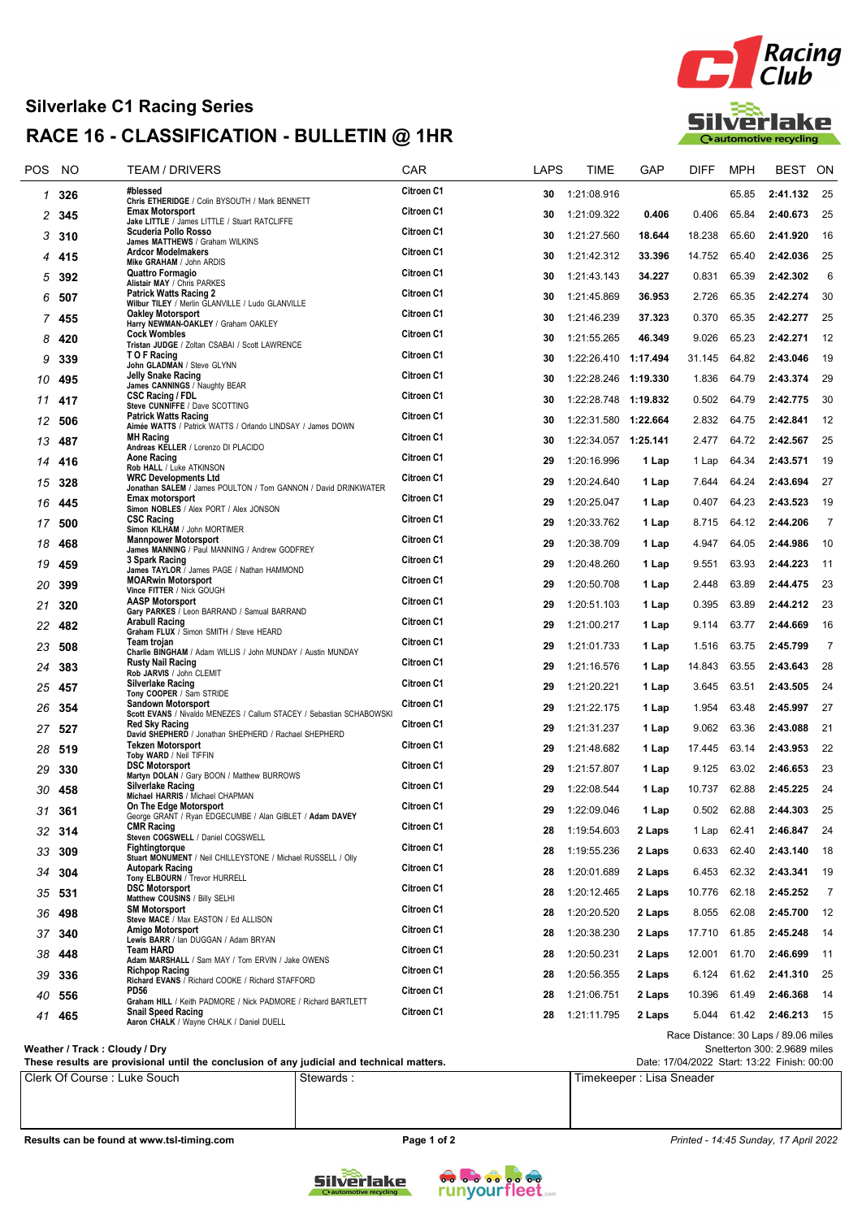## Silverlake C1 Racing Series RACE 16 - CLASSIFICATION - BULLETIN @ 1HR



| <b>POS</b> | NO     | TEAM / DRIVERS                                                                                                   | <b>CAR</b>        | LAPS | TIME                 | GAP      | <b>DIFF</b> | <b>MPH</b>  | <b>BEST</b>                          | ON             |
|------------|--------|------------------------------------------------------------------------------------------------------------------|-------------------|------|----------------------|----------|-------------|-------------|--------------------------------------|----------------|
| 1          | 326    | #blessed<br>Chris ETHERIDGE / Colin BYSOUTH / Mark BENNETT                                                       | Citroen C1        | 30   | 1:21:08.916          |          |             | 65.85       | 2:41.132                             | 25             |
| 2          | 345    | <b>Emax Motorsport</b><br>Jake LITTLE / James LITTLE / Stuart RATCLIFFE                                          | Citroen C1        | 30   | 1:21:09.322          | 0.406    | 0.406       | 65.84       | 2:40.673                             | 25             |
| 3          | 310    | Scuderia Pollo Rosso<br>James MATTHEWS / Graham WILKINS                                                          | <b>Citroen C1</b> | 30   | 1:21:27.560          | 18.644   | 18.238      | 65.60       | 2:41.920                             | 16             |
| 4          | 415    | <b>Ardcor Modelmakers</b><br>Mike GRAHAM / John ARDIS                                                            | Citroen C1        | 30   | 1:21:42.312          | 33.396   | 14.752      | 65.40       | 2:42.036                             | 25             |
| 5          | 392    | Quattro Formagio                                                                                                 | <b>Citroen C1</b> | 30   | 1:21:43.143          | 34.227   | 0.831       | 65.39       | 2:42.302                             | 6              |
| 6          | 507    | Alistair MAY / Chris PARKES<br><b>Patrick Watts Racing 2</b><br>Wilbur TILEY / Merlin GLANVILLE / Ludo GLANVILLE | Citroen C1        | 30   | 1:21:45.869          | 36.953   | 2.726       | 65.35       | 2:42.274                             | 30             |
|            | 7 455  | <b>Oakley Motorsport</b><br>Harry NEWMAN-OAKLEY / Graham OAKLEY                                                  | Citroen C1        | 30   | 1:21:46.239          | 37.323   | 0.370       | 65.35       | 2:42.277                             | 25             |
| 8          | 420    | <b>Cock Wombles</b><br>Tristan JUDGE / Zoltan CSABAI / Scott LAWRENCE                                            | Citroen C1        | 30   | 1:21:55.265          | 46.349   | 9.026       | 65.23       | 2:42.271                             | 12             |
| 9          | 339    | T O F Racing<br>John GLADMAN / Steve GLYNN                                                                       | Citroen C1        | 30   | 1:22:26.410          | 1:17.494 | 31.145      | 64.82       | 2:43.046                             | 19             |
| 10         | 495    | Jelly Snake Racing<br>James CANNINGS / Naughty BEAR                                                              | Citroen C1        | 30   | 1:22:28.246 1:19.330 |          | 1.836       | 64.79       | 2:43.374                             | 29             |
| 11         | 417    | <b>CSC Racing / FDL</b><br>Steve CUNNIFFE / Dave SCOTTING                                                        | Citroen C1        | 30   | 1:22:28.748 1:19.832 |          | 0.502       | 64.79       | 2:42.775                             | 30             |
| 12         | 506    | <b>Patrick Watts Racing</b>                                                                                      | Citroen C1        | 30   | 1:22:31.580          | 1:22.664 | 2.832       | 64.75       | 2:42.841                             | 12             |
| 13         | 487    | Aimée WATTS / Patrick WATTS / Orlando LINDSAY / James DOWN<br><b>MH Racing</b>                                   | Citroen C1        | 30   |                      |          | 2.477       | 64.72       | 2:42.567                             | 25             |
| 14         | 416    | Andreas KELLER / Lorenzo DI PLACIDO<br>Aone Racing                                                               | Citroen C1        | 29   | 1:20:16.996          | 1 Lap    | 1 Lap       | 64.34       | 2:43.571                             | 19             |
| 15         | 328    | Rob HALL / Luke ATKINSON<br><b>WRC Developments Ltd</b>                                                          | Citroen C1        | 29   | 1:20:24.640          | 1 Lap    | 7.644       | 64.24       | 2:43.694                             | 27             |
| 16         | 445    | Jonathan SALEM / James POULTON / Tom GANNON / David DRINKWATER<br>Emax motorsport                                | Citroen C1        | 29   | 1:20:25.047          | 1 Lap    | 0.407       | 64.23       | 2:43.523                             | 19             |
| 17         | 500    | Simon NOBLES / Alex PORT / Alex JONSON<br><b>CSC Racing</b>                                                      | Citroen C1        | 29   | 1:20:33.762          | 1 Lap    | 8.715       | 64.12       | 2:44.206                             | $\overline{7}$ |
| 18         | 468    | Simon KILHAM / John MORTIMER<br><b>Mannpower Motorsport</b>                                                      | Citroen C1        | 29   | 1:20:38.709          | 1 Lap    | 4.947       | 64.05       | 2:44.986                             | 10             |
| 19         | 459    | James MANNING / Paul MANNING / Andrew GODFREY<br>3 Spark Racing                                                  | Citroen C1        | 29   | 1:20:48.260          | 1 Lap    | 9.551       | 63.93       | 2:44.223                             | 11             |
| 20         | 399    | James TAYLOR / James PAGE / Nathan HAMMOND<br><b>MOARwin Motorsport</b>                                          | <b>Citroen C1</b> | 29   | 1:20:50.708          | 1 Lap    | 2.448       | 63.89       | 2:44.475                             | -23            |
| 21         | 320    | Vince FITTER / Nick GOUGH<br><b>AASP Motorsport</b>                                                              | Citroen C1        | 29   | 1:20:51.103          | 1 Lap    | 0.395       | 63.89       | 2:44.212                             | 23             |
| 22         | 482    | Gary PARKES / Leon BARRAND / Samual BARRAND<br><b>Arabull Racing</b>                                             | Citroen C1        | 29   | 1:21:00.217          | 1 Lap    | 9.114       | 63.77       | 2:44.669                             | 16             |
|            |        | Graham FLUX / Simon SMITH / Steve HEARD<br><b>Team trojan</b>                                                    | Citroen C1        | 29   |                      |          |             | 63.75       | 2:45.799                             | $\overline{7}$ |
| 23         | 508    | Charlie BINGHAM / Adam WILLIS / John MUNDAY / Austin MUNDAY<br><b>Rusty Nail Racing</b>                          | Citroen C1        |      | 1:21:01.733          | 1 Lap    | 1.516       |             |                                      |                |
| 24         | 383    | Rob JARVIS / John CLEMIT<br><b>Silverlake Racing</b>                                                             | Citroen C1        | 29   | 1:21:16.576          | 1 Lap    | 14.843      | 63.55       | 2:43.643                             | 28             |
| 25         | 457    | Tony COOPER / Sam STRIDE<br><b>Sandown Motorsport</b>                                                            | Citroen C1        | 29   | 1:21:20.221          | 1 Lap    | 3.645       | 63.51       | 2:43.505                             | 24             |
| 26         | 354    | Scott EVANS / Nivaldo MENEZES / Callum STACEY / Sebastian SCHABOWSKI<br><b>Red Sky Racing</b>                    | Citroen C1        | 29   | 1:21:22.175          | 1 Lap    | 1.954       | 63.48       | 2:45.997                             | 27             |
| 27         | 527    | David SHEPHERD / Jonathan SHEPHERD / Rachael SHEPHERD<br><b>Tekzen Motorsport</b>                                | Citroen C1        | 29   | 1:21:31.237          | 1 Lap    | 9.062       | 63.36       | 2:43.088                             | 21             |
| 28         | 519    | Toby WARD / Neil TIFFIN<br><b>DSC Motorsport</b>                                                                 |                   | 29   | 1:21:48.682          | 1 Lap    | 17.445      | 63.14       | 2:43.953                             | 22             |
| 29         | 330    | Martyn DOLAN / Gary BOON / Matthew BURROWS                                                                       | Citroen C1        | 29   | 1:21:57.807          | 1 Lap    | 9.125       | 63.02       | 2:46.653                             | 23             |
| 30         | 458    | Silverlake Racing<br>Michael HARRIS / Michael CHAPMAN                                                            | Citroen C1        | 29   | 1:22:08.544          | 1 Lap    | 10.737      | 62.88       | 2:45.225                             | 24             |
|            | 31 361 | On The Edge Motorsport<br>George GRANT / Ryan EDGECUMBE / Alan GIBLET / Adam DAVEY                               | Citroen C1        |      | 29 1:22:09.046       | 1 Lap    |             | 0.502 62.88 | 2:44.303 25                          |                |
| 32         | 314    | <b>CMR Racing</b><br>Steven COGSWELL / Daniel COGSWELL                                                           | Citroen C1        | 28   | 1:19:54.603          | 2 Laps   | 1 Lap       | 62.41       | 2:46.847                             | -24            |
| 33         | 309    | Fightingtorque<br>Stuart MONUMENT / Neil CHILLEYSTONE / Michael RUSSELL / Olly                                   | Citroen C1        | 28   | 1:19:55.236          | 2 Laps   | 0.633       | 62.40       | 2:43.140                             | 18             |
| 34         | 304    | <b>Autopark Racing</b><br>Tony ELBOURN / Trevor HURRELL                                                          | Citroen C1        | 28   | 1:20:01.689          | 2 Laps   | 6.453       | 62.32       | 2:43.341                             | 19             |
| 35         | -531   | <b>DSC Motorsport</b><br>Matthew COUSINS / Billy SELHI                                                           | Citroen C1        | 28   | 1:20:12.465          | 2 Laps   | 10.776      | 62.18       | 2:45.252                             | 7              |
| 36         | 498    | <b>SM Motorsport</b><br>Steve MACE / Max EASTON / Ed ALLISON                                                     | Citroen C1        | 28   | 1:20:20.520          | 2 Laps   | 8.055       | 62.08       | 2:45.700                             | 12             |
| 37         | 340    | Amigo Motorsport<br>Lewis BARR / lan DUGGAN / Adam BRYAN                                                         | Citroen C1        | 28   | 1:20:38.230          | 2 Laps   | 17.710      | 61.85       | 2:45.248                             | 14             |
| 38         | 448    | <b>Team HARD</b><br>Adam MARSHALL / Sam MAY / Tom ERVIN / Jake OWENS                                             | Citroen C1        | 28   | 1:20:50.231          | 2 Laps   | 12.001      | 61.70       | 2:46.699                             | $-11$          |
| 39         | 336    | <b>Richpop Racing</b><br>Richard EVANS / Richard COOKE / Richard STAFFORD                                        | Citroen C1        | 28   | 1:20:56.355          | 2 Laps   | 6.124       | 61.62       | 2:41.310                             | - 25           |
| 40         | 556    | PD56<br>Graham HILL / Keith PADMORE / Nick PADMORE / Richard BARTLETT                                            | Citroen C1        | 28   | 1:21:06.751          | 2 Laps   | 10.396      | 61.49       | 2:46.368                             | 14             |
| 41         | 465    | <b>Snail Speed Racing</b><br>Aaron CHALK / Wayne CHALK / Daniel DUELL                                            | Citroen C1        | 28   | 1:21:11.795          | 2 Laps   |             |             | 5.044 61.42 2:46.213 15              |                |
|            |        |                                                                                                                  |                   |      |                      |          |             |             | Race Distance: 30 Laps / 89.06 miles |                |

Weather / Track : Cloudy / Dry

These results are provisional until the conclusion of any judicial and technical matters.

Clerk Of Course : Luke Souch Stewards : The Stewards : Timekeeper : Lisa Sneader

Snetterton 300: 2.9689 miles Date: 17/04/2022 Start: 13:22 Finish: 00:00

Results can be found at www.tsl-timing.com example and the Page 1 of 2 Printed - 14:45 Sunday, 17 April 2022